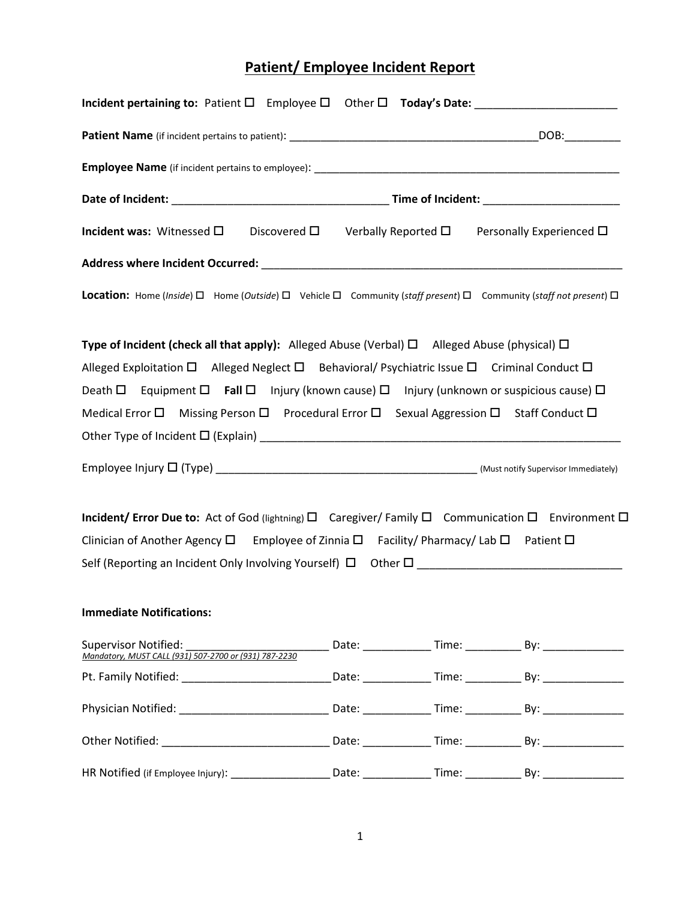## **Patient/ Employee Incident Report**

| Incident pertaining to: Patient □ Employee □ Other □ Today's Date: _____________________                                        |  |                                                                                  |
|---------------------------------------------------------------------------------------------------------------------------------|--|----------------------------------------------------------------------------------|
|                                                                                                                                 |  |                                                                                  |
|                                                                                                                                 |  |                                                                                  |
|                                                                                                                                 |  |                                                                                  |
| <b>Incident was:</b> Witnessed $\square$ Discovered $\square$ Verbally Reported $\square$ Personally Experienced $\square$      |  |                                                                                  |
|                                                                                                                                 |  |                                                                                  |
| Location: Home (Inside) □ Home (Outside) □ Vehicle □ Community (staff present) □ Community (staff not present) □                |  |                                                                                  |
| Type of Incident (check all that apply): Alleged Abuse (Verbal) $\square$ Alleged Abuse (physical) $\square$                    |  |                                                                                  |
| Alleged Exploitation $\Box$ Alleged Neglect $\Box$ Behavioral/ Psychiatric Issue $\Box$ Criminal Conduct $\Box$                 |  |                                                                                  |
| Death $\Box$ Equipment $\Box$ Fall $\Box$ Injury (known cause) $\Box$ Injury (unknown or suspicious cause) $\Box$               |  |                                                                                  |
| Medical Error $\square$ Missing Person $\square$ Procedural Error $\square$ Sexual Aggression $\square$ Staff Conduct $\square$ |  |                                                                                  |
|                                                                                                                                 |  |                                                                                  |
|                                                                                                                                 |  |                                                                                  |
| Incident/ Error Due to: Act of God (lightning) □ Caregiver/ Family □ Communication □ Environment □                              |  |                                                                                  |
| Clinician of Another Agency $\square$ Employee of Zinnia $\square$ Facility/ Pharmacy/ Lab $\square$ Patient $\square$          |  |                                                                                  |
|                                                                                                                                 |  |                                                                                  |
|                                                                                                                                 |  |                                                                                  |
| <b>Immediate Notifications:</b>                                                                                                 |  |                                                                                  |
| <b>Supervisor Notified:</b><br>Mandatory, MUST CALL (931) 507-2700 or (931) 787-2230                                            |  | <u>___________</u> Date: _____________ Time: ____________ By: __________________ |
|                                                                                                                                 |  |                                                                                  |
|                                                                                                                                 |  |                                                                                  |
|                                                                                                                                 |  |                                                                                  |
|                                                                                                                                 |  |                                                                                  |